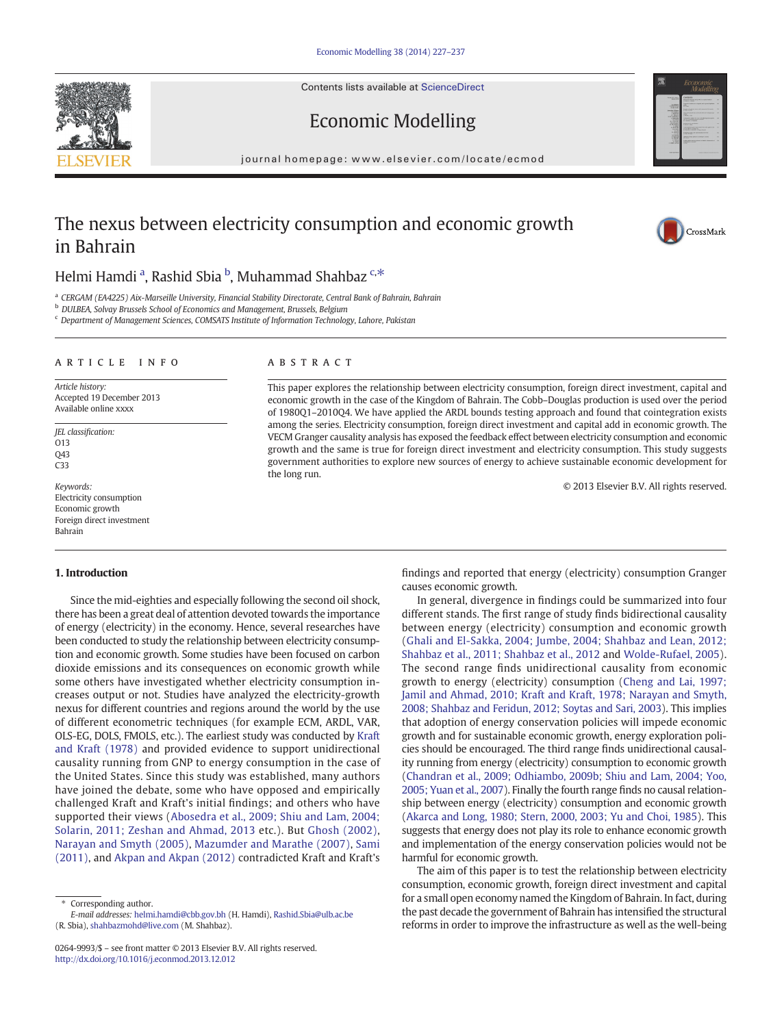Contents lists available at [ScienceDirect](http://www.sciencedirect.com/science/journal/02649993)





# Economic Modelling

journal homepage: www.elsevier.com/locate/ecmod

# The nexus between electricity consumption and economic growth in Bahrain



## Helmi Hamdi <sup>a</sup>, Rashid Sbia <sup>b</sup>, Muhammad Shahbaz <sup>c,\*</sup>

<sup>a</sup> CERGAM (EA4225) Aix-Marseille University, Financial Stability Directorate, Central Bank of Bahrain, Bahrain

**b** DULBEA, Solvay Brussels School of Economics and Management, Brussels, Belgium

<sup>c</sup> Department of Management Sciences, COMSATS Institute of Information Technology, Lahore, Pakistan

### article info abstract

Article history: Accepted 19 December 2013 Available online xxxx

JEL classification:  $013$ Q43 C33

Keywords: Electricity consumption Economic growth Foreign direct investment Bahrain

### 1. Introduction

Since the mid-eighties and especially following the second oil shock, there has been a great deal of attention devoted towards the importance of energy (electricity) in the economy. Hence, several researches have been conducted to study the relationship between electricity consumption and economic growth. Some studies have been focused on carbon dioxide emissions and its consequences on economic growth while some others have investigated whether electricity consumption increases output or not. Studies have analyzed the electricity-growth nexus for different countries and regions around the world by the use of different econometric techniques (for example ECM, ARDL, VAR, OLS-EG, DOLS, FMOLS, etc.). The earliest study was conducted by Kraft and Kraft (1978) and provided evidence to support unidirectional causality running from GNP to energy consumption in the case of the United States. Since this study was established, many authors have joined the debate, some who have opposed and empirically challenged Kraft and Kraft's initial findings; and others who have supported their views ([Abosedra et al., 2009; Shiu and Lam, 2004;](#page--1-0) [Solarin, 2011; Zeshan and Ahmad, 2013](#page--1-0) etc.). But Ghosh (2002), Narayan and Smyth (2005), Mazumder and Marathe (2007), Sami (2011), and Akpan and Akpan (2012) contradicted Kraft and Kraft's

This paper explores the relationship between electricity consumption, foreign direct investment, capital and economic growth in the case of the Kingdom of Bahrain. The Cobb–Douglas production is used over the period of 1980Q1–2010Q4. We have applied the ARDL bounds testing approach and found that cointegration exists among the series. Electricity consumption, foreign direct investment and capital add in economic growth. The VECM Granger causality analysis has exposed the feedback effect between electricity consumption and economic growth and the same is true for foreign direct investment and electricity consumption. This study suggests government authorities to explore new sources of energy to achieve sustainable economic development for the long run.

© 2013 Elsevier B.V. All rights reserved.

findings and reported that energy (electricity) consumption Granger causes economic growth.

In general, divergence in findings could be summarized into four different stands. The first range of study finds bidirectional causality between energy (electricity) consumption and economic growth [\(Ghali and El-Sakka, 2004; Jumbe, 2004; Shahbaz and Lean, 2012;](#page--1-0) [Shahbaz et al., 2011; Shahbaz et al., 2012](#page--1-0) and Wolde-Rufael, 2005). The second range finds unidirectional causality from economic growth to energy (electricity) consumption ([Cheng and Lai, 1997;](#page--1-0) [Jamil and Ahmad, 2010; Kraft and Kraft, 1978; Narayan and Smyth,](#page--1-0) [2008; Shahbaz and Feridun, 2012; Soytas and Sari, 2003](#page--1-0)). This implies that adoption of energy conservation policies will impede economic growth and for sustainable economic growth, energy exploration policies should be encouraged. The third range finds unidirectional causality running from energy (electricity) consumption to economic growth [\(Chandran et al., 2009; Odhiambo, 2009b; Shiu and Lam, 2004; Yoo,](#page--1-0) [2005; Yuan et al., 2007](#page--1-0)). Finally the fourth range finds no causal relationship between energy (electricity) consumption and economic growth [\(Akarca and Long, 1980; Stern, 2000, 2003; Yu and Choi, 1985\)](#page--1-0). This suggests that energy does not play its role to enhance economic growth and implementation of the energy conservation policies would not be harmful for economic growth.

The aim of this paper is to test the relationship between electricity consumption, economic growth, foreign direct investment and capital for a small open economy named the Kingdom of Bahrain. In fact, during the past decade the government of Bahrain has intensified the structural reforms in order to improve the infrastructure as well as the well-being

Corresponding author.

E-mail addresses: [helmi.hamdi@cbb.gov.bh](mailto:helmi.hamdi@cbb.gov.bh) (H. Hamdi), [Rashid.Sbia@ulb.ac.be](mailto:Rashid.Sbia@ulb.ac.be) (R. Sbia), [shahbazmohd@live.com](mailto:shahbazmohd@live.com) (M. Shahbaz).

<sup>0264-9993/\$</sup> – see front matter © 2013 Elsevier B.V. All rights reserved. <http://dx.doi.org/10.1016/j.econmod.2013.12.012>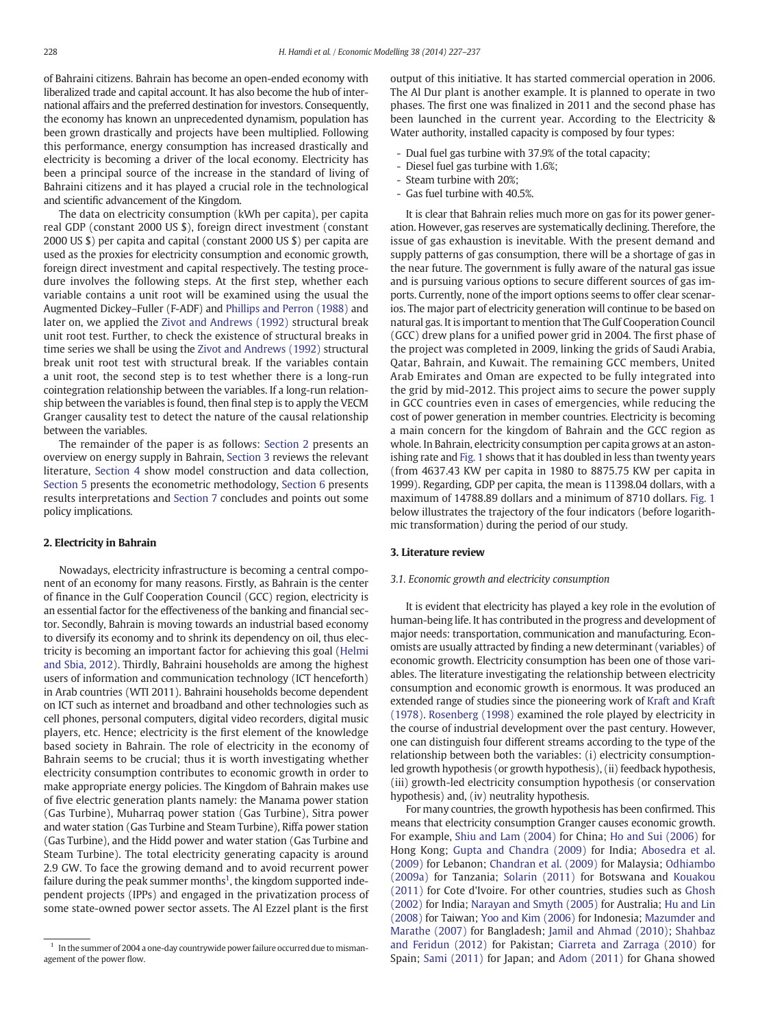of Bahraini citizens. Bahrain has become an open-ended economy with liberalized trade and capital account. It has also become the hub of international affairs and the preferred destination for investors. Consequently, the economy has known an unprecedented dynamism, population has been grown drastically and projects have been multiplied. Following this performance, energy consumption has increased drastically and electricity is becoming a driver of the local economy. Electricity has been a principal source of the increase in the standard of living of Bahraini citizens and it has played a crucial role in the technological and scientific advancement of the Kingdom.

The data on electricity consumption (kWh per capita), per capita real GDP (constant 2000 US \$), foreign direct investment (constant 2000 US \$) per capita and capital (constant 2000 US \$) per capita are used as the proxies for electricity consumption and economic growth, foreign direct investment and capital respectively. The testing procedure involves the following steps. At the first step, whether each variable contains a unit root will be examined using the usual the Augmented Dickey–Fuller (F-ADF) and Phillips and Perron (1988) and later on, we applied the Zivot and Andrews (1992) structural break unit root test. Further, to check the existence of structural breaks in time series we shall be using the Zivot and Andrews (1992) structural break unit root test with structural break. If the variables contain a unit root, the second step is to test whether there is a long-run cointegration relationship between the variables. If a long-run relationship between the variables is found, then final step is to apply the VECM Granger causality test to detect the nature of the causal relationship between the variables.

The remainder of the paper is as follows: Section 2 presents an overview on energy supply in Bahrain, Section 3 reviews the relevant literature, Section 4 show model construction and data collection, Section 5 presents the econometric methodology, Section 6 presents results interpretations and Section 7 concludes and points out some policy implications.

### 2. Electricity in Bahrain

Nowadays, electricity infrastructure is becoming a central component of an economy for many reasons. Firstly, as Bahrain is the center of finance in the Gulf Cooperation Council (GCC) region, electricity is an essential factor for the effectiveness of the banking and financial sector. Secondly, Bahrain is moving towards an industrial based economy to diversify its economy and to shrink its dependency on oil, thus electricity is becoming an important factor for achieving this goal (Helmi and Sbia, 2012). Thirdly, Bahraini households are among the highest users of information and communication technology (ICT henceforth) in Arab countries (WTI 2011). Bahraini households become dependent on ICT such as internet and broadband and other technologies such as cell phones, personal computers, digital video recorders, digital music players, etc. Hence; electricity is the first element of the knowledge based society in Bahrain. The role of electricity in the economy of Bahrain seems to be crucial; thus it is worth investigating whether electricity consumption contributes to economic growth in order to make appropriate energy policies. The Kingdom of Bahrain makes use of five electric generation plants namely: the Manama power station (Gas Turbine), Muharraq power station (Gas Turbine), Sitra power and water station (Gas Turbine and Steam Turbine), Riffa power station (Gas Turbine), and the Hidd power and water station (Gas Turbine and Steam Turbine). The total electricity generating capacity is around 2.9 GW. To face the growing demand and to avoid recurrent power failure during the peak summer months<sup>1</sup>, the kingdom supported independent projects (IPPs) and engaged in the privatization process of some state-owned power sector assets. The Al Ezzel plant is the first output of this initiative. It has started commercial operation in 2006. The Al Dur plant is another example. It is planned to operate in two phases. The first one was finalized in 2011 and the second phase has been launched in the current year. According to the Electricity & Water authority, installed capacity is composed by four types:

- Dual fuel gas turbine with 37.9% of the total capacity;
- Diesel fuel gas turbine with 1.6%;
- Steam turbine with 20%;
- Gas fuel turbine with 40.5%.

It is clear that Bahrain relies much more on gas for its power generation. However, gas reserves are systematically declining. Therefore, the issue of gas exhaustion is inevitable. With the present demand and supply patterns of gas consumption, there will be a shortage of gas in the near future. The government is fully aware of the natural gas issue and is pursuing various options to secure different sources of gas imports. Currently, none of the import options seems to offer clear scenarios. The major part of electricity generation will continue to be based on natural gas. It is important to mention that The Gulf Cooperation Council (GCC) drew plans for a unified power grid in 2004. The first phase of the project was completed in 2009, linking the grids of Saudi Arabia, Qatar, Bahrain, and Kuwait. The remaining GCC members, United Arab Emirates and Oman are expected to be fully integrated into the grid by mid-2012. This project aims to secure the power supply in GCC countries even in cases of emergencies, while reducing the cost of power generation in member countries. Electricity is becoming a main concern for the kingdom of Bahrain and the GCC region as whole. In Bahrain, electricity consumption per capita grows at an astonishing rate and Fig. 1 shows that it has doubled in less than twenty years (from 4637.43 KW per capita in 1980 to 8875.75 KW per capita in 1999). Regarding, GDP per capita, the mean is 11398.04 dollars, with a maximum of 14788.89 dollars and a minimum of 8710 dollars. Fig. 1 below illustrates the trajectory of the four indicators (before logarithmic transformation) during the period of our study.

### 3. Literature review

### 3.1. Economic growth and electricity consumption

It is evident that electricity has played a key role in the evolution of human-being life. It has contributed in the progress and development of major needs: transportation, communication and manufacturing. Economists are usually attracted by finding a new determinant (variables) of economic growth. Electricity consumption has been one of those variables. The literature investigating the relationship between electricity consumption and economic growth is enormous. It was produced an extended range of studies since the pioneering work of Kraft and Kraft (1978). Rosenberg (1998) examined the role played by electricity in the course of industrial development over the past century. However, one can distinguish four different streams according to the type of the relationship between both the variables: (i) electricity consumptionled growth hypothesis (or growth hypothesis), (ii) feedback hypothesis, (iii) growth-led electricity consumption hypothesis (or conservation hypothesis) and, (iv) neutrality hypothesis.

For many countries, the growth hypothesis has been confirmed. This means that electricity consumption Granger causes economic growth. For example, Shiu and Lam (2004) for China; Ho and Sui (2006) for Hong Kong; Gupta and Chandra (2009) for India; Abosedra et al. (2009) for Lebanon; Chandran et al. (2009) for Malaysia; Odhiambo (2009a) for Tanzania; Solarin (2011) for Botswana and Kouakou (2011) for Cote d'Ivoire. For other countries, studies such as Ghosh (2002) for India; Narayan and Smyth (2005) for Australia; Hu and Lin (2008) for Taiwan; Yoo and Kim (2006) for Indonesia; Mazumder and Marathe (2007) for Bangladesh; Jamil and Ahmad (2010); Shahbaz and Feridun (2012) for Pakistan; Ciarreta and Zarraga (2010) for Spain; Sami (2011) for Japan; and Adom (2011) for Ghana showed

 $1$  In the summer of 2004 a one-day countrywide power failure occurred due to mismanagement of the power flow.